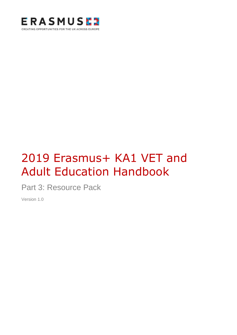

# 2019 Erasmus+ KA1 VET and Adult Education Handbook

Part 3: Resource Pack

Version 1.0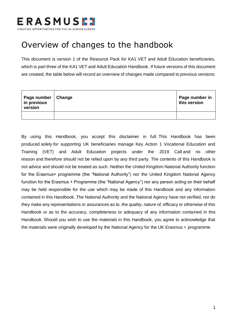

### <span id="page-1-0"></span>Overview of changes to the handbook

This document is version 1 of the Resource Pack for KA1 VET and Adult Education beneficiaries, which is part three of the KA1 VET and Adult Education Handbook. If future versions of this document are created, the table below will record an overview of changes made compared to previous versions:

| Page number   Change<br>in previous<br>version | Page number in<br>this version |
|------------------------------------------------|--------------------------------|
|                                                |                                |

By using this Handbook, you accept this disclaimer in full. This Handbook has been produced solely for supporting UK beneficiaries manage Key Action 1 Vocational Education and Training (VET) and Adult Education projects under the 2019 Call and no other reason and therefore should not be relied upon by any third party. The contents of this Handbook is not advice and should not be treated as such. Neither the United Kingdom National Authority function for the Erasmus+ programme (the "National Authority") nor the United Kingdom National Agency function for the Erasmus + Programme (the "National Agency") nor any person acting on their behalf may be held responsible for the use which may be made of this Handbook and any information contained in this Handbook. The National Authority and the National Agency have not verified, nor do they make any representations or assurances as to, the quality, nature of, efficacy or otherwise of this Handbook or as to the accuracy, completeness or adequacy of any information contained in this Handbook. Should you wish to use the materials in this Handbook, you agree to acknowledge that the materials were originally developed by the National Agency for the UK Erasmus + programme.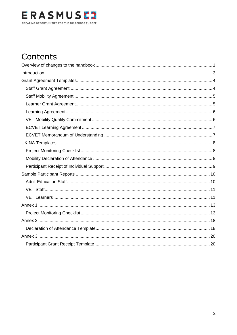

### Contents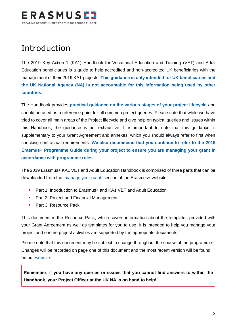

### <span id="page-3-0"></span>Introduction

The 2019 Key Action 1 (KA1) Handbook for Vocational Education and Training (VET) and Adult Education beneficiaries is a guide to help accredited and non-accredited UK beneficiaries with the management of their 2019 KA1 projects. **This guidance is only intended for UK beneficiaries and the UK National Agency (NA) is not accountable for this information being used by other countries**.

The Handbook provides **practical guidance on the various stages of your project lifecycle** and should be used as a reference point for all common project queries. Please note that while we have tried to cover all main areas of the Project lifecycle and give help on typical queries and issues within this Handbook, the guidance is not exhaustive. It is important to note that this guidance is supplementary to your Grant Agreement and annexes, which you should always refer to first when checking contractual requirements. **We also recommend that you continue to refer to the 2019 Erasmus+ Programme Guide during your project to ensure you are managing your grant in accordance with programme rules**.

The 2019 Erasmus+ KA1 VET and Adult Education Handbook is comprised of three parts that can be downloaded from the ['manage your grant'](https://www.erasmusplus.org.uk/manage-your-grant-2) section of the Erasmus+ website:

- Part 1: Introduction to Erasmus+ and KA1 VET and Adult Education
- **Part 2: Project and Financial Management**
- **Part 3: Resource Pack**

This document is the Resource Pack, which covers information about the templates provided with your Grant Agreement as well as templates for you to use. It is intended to help you manage your project and ensure project activities are supported by the appropriate documents.

Please note that this document may be subject to change throughout the course of the programme. Changes will be recorded on page one of this document and the most recent version will be found on our [website.](https://www.erasmusplus.org.uk/erasmus-grants)

**Remember, if you have any queries or issues that you cannot find answers to within the Handbook, your Project Officer at the UK NA is on hand to help!**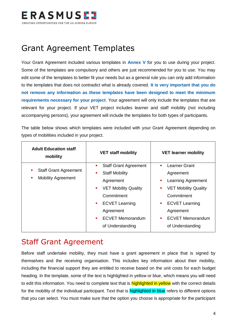

### <span id="page-4-0"></span>Grant Agreement Templates

Your Grant Agreement included various templates in **Annex V** for you to use during your project. Some of the templates are compulsory and others are just recommended for you to use. You may edit some of the templates to better fit your needs but as a general rule you can only add information to the templates that does not contradict what is already covered. **It is very important that you do not remove any information as these templates have been designed to meet the minimum requirements necessary for your project**. Your agreement will only include the templates that are relevant for your project. If your VET project includes learner and staff mobility (not including accompanying persons), your agreement will include the templates for both types of participants.

The table below shows which templates were included with your Grant Agreement depending on types of mobilities included in your project.

| <b>Adult Education staff</b><br>mobility | <b>VET staff mobility</b>                     | <b>VET learner mobility</b>             |
|------------------------------------------|-----------------------------------------------|-----------------------------------------|
|                                          | <b>Staff Grant Agreement</b><br>٠             | <b>Learner Grant</b><br>٠               |
| <b>Staff Grant Agreement</b>             | <b>Staff Mobility</b><br>٠                    | Agreement                               |
| <b>Mobility Agreement</b>                | Agreement                                     | Learning Agreement<br>٠                 |
|                                          | <b>VET Mobility Quality</b><br>$\blacksquare$ | <b>VET Mobility Quality</b>             |
|                                          | Commitment                                    | Commitment                              |
|                                          | <b>ECVET Learning</b><br>$\blacksquare$       | <b>ECVET Learning</b><br>$\blacksquare$ |
|                                          | Agreement                                     | Agreement                               |
|                                          | <b>ECVET Memorandum</b><br>$\mathbf{r}$       | <b>ECVET Memorandum</b><br>٠            |
|                                          | of Understanding                              | of Understanding                        |

### <span id="page-4-1"></span>Staff Grant Agreement

Before staff undertake mobility, they must have a grant agreement in place that is signed by themselves and the receiving organisation. This includes key information about their mobility, including the financial support they are entitled to receive based on the unit costs for each budget heading. In the template, some of the text is highlighted in yellow or blue, which means you will need to edit this information. You need to complete text that is **highlighted in yellow** with the correct details for the mobility of the individual participant. Text that is highlighted in blue refers to different options that you can select. You must make sure that the option you choose is appropriate for the participant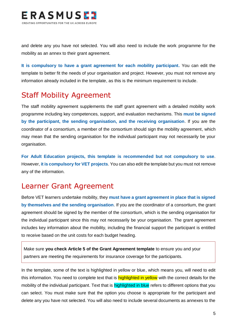

and delete any you have not selected. You will also need to include the work programme for the mobility as an annex to their grant agreement.

**It is compulsory to have a grant agreement for each mobility participant.** You can edit the template to better fit the needs of your organisation and project. However, you must not remove any information already included in the template, as this is the minimum requirement to include.

### <span id="page-5-0"></span>Staff Mobility Agreement

The staff mobility agreement supplements the staff grant agreement with a detailed mobility work programme including key competences, support, and evaluation mechanisms. This **must be signed by the participant, the sending organisation, and the receiving organisation**. If you are the coordinator of a consortium, a member of the consortium should sign the mobility agreement, which may mean that the sending organisation for the individual participant may not necessarily be your organisation.

**For Adult Education projects, this template is recommended but not compulsory to use**. However, **it is compulsory for VET projects**. You can also edit the template but you must not remove any of the information.

### <span id="page-5-1"></span>Learner Grant Agreement

Before VET learners undertake mobility, they **must have a grant agreement in place that is signed by themselves and the sending organisation**. If you are the coordinator of a consortium, the grant agreement should be signed by the member of the consortium, which is the sending organisation for the individual participant since this may not necessarily be your organisation. The grant agreement includes key information about the mobility, including the financial support the participant is entitled to receive based on the unit costs for each budget heading.

Make sure **you check Article 5 of the Grant Agreement template** to ensure you and your partners are meeting the requirements for insurance coverage for the participants.

In the template, some of the text is highlighted in yellow or blue, which means you, will need to edit this information. You need to complete text that is **highlighted in yellow** with the correct details for the mobility of the individual participant. Text that is **highlighted in blue** refers to different options that you can select. You must make sure that the option you choose is appropriate for the participant and delete any you have not selected. You will also need to include several documents as annexes to the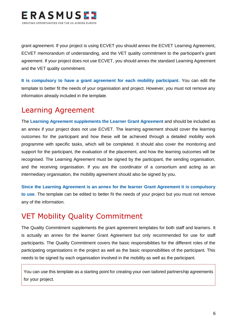

grant agreement. If your project is using ECVET you should annex the ECVET Learning Agreement, ECVET memorandum of understanding, and the VET quality commitment to the participant's grant agreement. If your project does not use ECVET, you should annex the standard Learning Agreement and the VET quality commitment.

**It is compulsory to have a grant agreement for each mobility participant.** You can edit the template to better fit the needs of your organisation and project. However, you must not remove any information already included in the template.

### <span id="page-6-0"></span>Learning Agreement

The **Learning Agreement supplements the Learner Grant Agreement** and should be included as an annex if your project does not use ECVET. The learning agreement should cover the learning outcomes for the participant and how these will be achieved through a detailed mobility work programme with specific tasks, which will be completed. It should also cover the monitoring and support for the participant, the evaluation of the placement, and how the learning outcomes will be recognised. The Learning Agreement must be signed by the participant, the sending organisation, and the receiving organisation. If you are the coordinator of a consortium and acting as an intermediary organisation, the mobility agreement should also be signed by you.

**Since the Learning Agreement is an annex for the learner Grant Agreement it is compulsory to use**. The template can be edited to better fit the needs of your project but you must not remove any of the information.

### <span id="page-6-1"></span>VET Mobility Quality Commitment

The Quality Commitment supplements the grant agreement templates for both staff and learners. It is actually an annex for the learner Grant Agreement but only recommended for use for staff participants. The Quality Commitment covers the basic responsibilities for the different roles of the participating organisations in the project as well as the basic responsibilities of the participant. This needs to be signed by each organisation involved in the mobility as well as the participant.

You can use this template as a starting point for creating your own tailored partnership agreements for your project.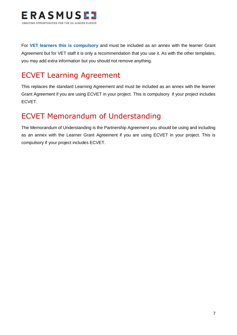

For **VET learners this is compulsory** and must be included as an annex with the learner Grant Agreement but for VET staff it is only a recommendation that you use it. As with the other templates, you may add extra information but you should not remove anything.

### <span id="page-7-0"></span>ECVET Learning Agreement

This replaces the standard Learning Agreement and must be included as an annex with the learner Grant Agreement if you are using ECVET in your project. This is compulsory if your project includes ECVET.

### <span id="page-7-1"></span>ECVET Memorandum of Understanding

The Memorandum of Understanding is the Partnership Agreement you should be using and including as an annex with the Learner Grant Agreement if you are using ECVET in your project. This is compulsory if your project includes ECVET.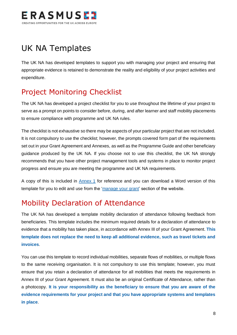

### <span id="page-8-0"></span>UK NA Templates

The UK NA has developed templates to support you with managing your project and ensuring that appropriate evidence is retained to demonstrate the reality and eligibility of your project activities and expenditure.

### <span id="page-8-1"></span>Project Monitoring Checklist

The UK NA has developed a project checklist for you to use throughout the lifetime of your project to serve as a prompt on points to consider before, during, and after learner and staff mobility placements to ensure compliance with programme and UK NA rules.

The checklist is not exhaustive so there may be aspects of your particular project that are not included. It is not compulsory to use the checklist; however, the prompts covered form part of the requirements set out in your Grant Agreement and Annexes, as well as the Programme Guide and other beneficiary guidance produced by the UK NA. If you choose not to use this checklist, the UK NA strongly recommends that you have other project management tools and systems in place to monitor project progress and ensure you are meeting the programme and UK NA requirements.

A copy of this is included in [Annex 1](#page-13-0) for reference and you can download a Word version of this template for you to edit and use from the ['manage your grant'](https://www.erasmusplus.org.uk/manage-your-grant) section of the website.

### <span id="page-8-2"></span>Mobility Declaration of Attendance

The UK NA has developed a template mobility declaration of attendance following feedback from beneficiaries. This template includes the minimum required details for a declaration of attendance to evidence that a mobility has taken place, in accordance with Annex III of your Grant Agreement. **This template does not replace the need to keep all additional evidence, such as travel tickets and invoices**.

You can use this template to record individual mobilities, separate flows of mobilities, or multiple flows to the same receiving organisation. It is not compulsory to use this template; however, you must ensure that you retain a declaration of attendance for all mobilities that meets the requirements in Annex III of your Grant Agreement. It must also be an original Certificate of Attendance, rather than a photocopy. **It is your responsibility as the beneficiary to ensure that you are aware of the evidence requirements for your project and that you have appropriate systems and templates in place**.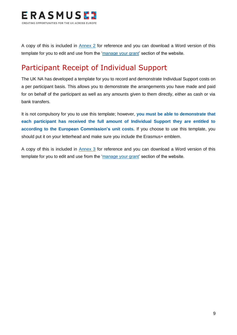

A copy of this is included in [Annex 2](#page-18-0) for reference and you can download a Word version of this template for you to edit and use from the ['manage your grant'](https://www.erasmusplus.org.uk/manage-your-grant) section of the website.

### <span id="page-9-0"></span>Participant Receipt of Individual Support

The UK NA has developed a template for you to record and demonstrate Individual Support costs on a per participant basis. This allows you to demonstrate the arrangements you have made and paid for on behalf of the participant as well as any amounts given to them directly, either as cash or via bank transfers.

It is not compulsory for you to use this template; however, **you must be able to demonstrate that each participant has received the full amount of Individual Support they are entitled to according to the European Commission's unit costs.** If you choose to use this template, you should put it on your letterhead and make sure you include the Erasmus+ emblem.

A copy of this is included in [Annex 3](#page-20-0) for reference and you can download a Word version of this template for you to edit and use from the ['manage your grant'](https://www.erasmusplus.org.uk/manage-your-grant) section of the website.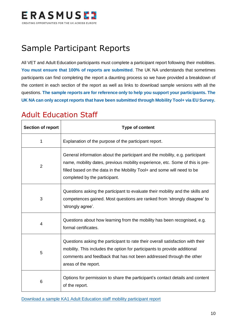

## <span id="page-10-0"></span>Sample Participant Reports

All VET and Adult Education participants must complete a participant report following their mobilities. **You must ensure that 100% of reports are submitted**. The UK NA understands that sometimes participants can find completing the report a daunting process so we have provided a breakdown of the content in each section of the report as well as links to download sample versions with all the questions. **The sample reports are for reference only to help you support your participants. The UK NA can only accept reports that have been submitted through Mobility Tool+ via EU Survey.**

### <span id="page-10-1"></span>Adult Education Staff

| <b>Section of report</b> | <b>Type of content</b>                                                                                                                                                                                                                                                    |
|--------------------------|---------------------------------------------------------------------------------------------------------------------------------------------------------------------------------------------------------------------------------------------------------------------------|
| 1                        | Explanation of the purpose of the participant report.                                                                                                                                                                                                                     |
| $\overline{2}$           | General information about the participant and the mobility, e.g. participant<br>name, mobility dates, previous mobility experience, etc. Some of this is pre-<br>filled based on the data in the Mobility Tool+ and some will need to be<br>completed by the participant. |
| 3                        | Questions asking the participant to evaluate their mobility and the skills and<br>competences gained. Most questions are ranked from 'strongly disagree' to<br>'strongly agree'.                                                                                          |
| 4                        | Questions about how learning from the mobility has been recognised, e.g.<br>formal certificates.                                                                                                                                                                          |
| 5                        | Questions asking the participant to rate their overall satisfaction with their<br>mobility. This includes the option for participants to provide additional<br>comments and feedback that has not been addressed through the other<br>areas of the report.                |
| 6                        | Options for permission to share the participant's contact details and content<br>of the report.                                                                                                                                                                           |

[Download a sample KA1 Adult Education staff mobility participant report](http://www.erasmusplus.org.uk/file/5398/download)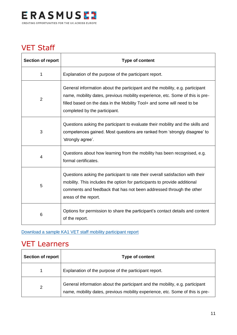

### <span id="page-11-0"></span>VET Staff

| <b>Section of report</b> | <b>Type of content</b>                                                                                                                                                                                                                                                    |
|--------------------------|---------------------------------------------------------------------------------------------------------------------------------------------------------------------------------------------------------------------------------------------------------------------------|
| 1                        | Explanation of the purpose of the participant report.                                                                                                                                                                                                                     |
| $\overline{2}$           | General information about the participant and the mobility, e.g. participant<br>name, mobility dates, previous mobility experience, etc. Some of this is pre-<br>filled based on the data in the Mobility Tool+ and some will need to be<br>completed by the participant. |
| 3                        | Questions asking the participant to evaluate their mobility and the skills and<br>competences gained. Most questions are ranked from 'strongly disagree' to<br>'strongly agree'.                                                                                          |
| 4                        | Questions about how learning from the mobility has been recognised, e.g.<br>formal certificates.                                                                                                                                                                          |
| 5                        | Questions asking the participant to rate their overall satisfaction with their<br>mobility. This includes the option for participants to provide additional<br>comments and feedback that has not been addressed through the other<br>areas of the report.                |
| 6                        | Options for permission to share the participant's contact details and content<br>of the report.                                                                                                                                                                           |

### [Download a sample KA1 VET staff mobility participant report](http://www.erasmusplus.org.uk/file/5400/download)

### <span id="page-11-1"></span>VET Learners

| <b>Section of report</b> | Type of content                                                                                                                                               |
|--------------------------|---------------------------------------------------------------------------------------------------------------------------------------------------------------|
|                          | Explanation of the purpose of the participant report.                                                                                                         |
| າ                        | General information about the participant and the mobility, e.g. participant<br>name, mobility dates, previous mobility experience, etc. Some of this is pre- |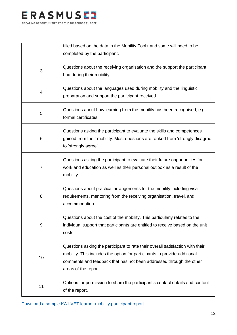

|                | filled based on the data in the Mobility Tool+ and some will need to be<br>completed by the participant.                                                                                                                                                   |
|----------------|------------------------------------------------------------------------------------------------------------------------------------------------------------------------------------------------------------------------------------------------------------|
| 3              | Questions about the receiving organisation and the support the participant<br>had during their mobility.                                                                                                                                                   |
| 4              | Questions about the languages used during mobility and the linguistic<br>preparation and support the participant received.                                                                                                                                 |
| 5              | Questions about how learning from the mobility has been recognised, e.g.<br>formal certificates.                                                                                                                                                           |
| 6              | Questions asking the participant to evaluate the skills and competences<br>gained from their mobility. Most questions are ranked from 'strongly disagree'<br>to 'strongly agree'.                                                                          |
| $\overline{7}$ | Questions asking the participant to evaluate their future opportunities for<br>work and education as well as their personal outlook as a result of the<br>mobility.                                                                                        |
| 8              | Questions about practical arrangements for the mobility including visa<br>requirements, mentoring from the receiving organisation, travel, and<br>accommodation.                                                                                           |
| 9              | Questions about the cost of the mobility. This particularly relates to the<br>individual support that participants are entitled to receive based on the unit<br>costs.                                                                                     |
| 10             | Questions asking the participant to rate their overall satisfaction with their<br>mobility. This includes the option for participants to provide additional<br>comments and feedback that has not been addressed through the other<br>areas of the report. |
| 11             | Options for permission to share the participant's contact details and content<br>of the report.                                                                                                                                                            |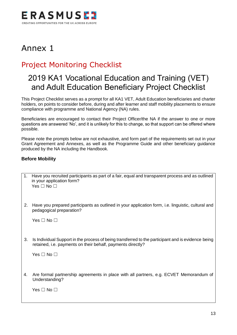

### <span id="page-13-0"></span>Annex 1

### <span id="page-13-1"></span>Project Monitoring Checklist

### 2019 KA1 Vocational Education and Training (VET) and Adult Education Beneficiary Project Checklist

This Project Checklist serves as a prompt for all KA1 VET, Adult Education beneficiaries and charter holders, on points to consider before, during and after learner and staff mobility placements to ensure compliance with programme and National Agency (NA) rules.

Beneficiaries are encouraged to contact their Project Officer/the NA if the answer to one or more questions are answered 'No', and it is unlikely for this to change, so that support can be offered where possible.

Please note the prompts below are not exhaustive, and form part of the requirements set out in your Grant Agreement and Annexes, as well as the Programme Guide and other beneficiary guidance produced by the NA including the Handbook.

#### **Before Mobility**

| 1. | Have you recruited participants as part of a fair, equal and transparent process and as outlined<br>in your application form?<br>Yes $\Box$ No $\Box$             |
|----|-------------------------------------------------------------------------------------------------------------------------------------------------------------------|
| 2. | Have you prepared participants as outlined in your application form, i.e. linguistic, cultural and<br>pedagogical preparation?                                    |
|    | Yes $\Box$ No $\Box$                                                                                                                                              |
| 3. | Is Individual Support in the process of being transferred to the participant and is evidence being<br>retained, i.e. payments on their behalf, payments directly? |
|    | Yes $\Box$ No $\Box$                                                                                                                                              |
| 4. | Are formal partnership agreements in place with all partners, e.g. ECVET Memorandum of<br>Understanding?                                                          |
|    | Yes ⊟ No ⊟                                                                                                                                                        |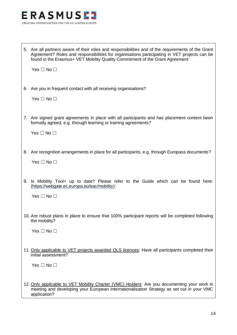

| 5. Are all partners aware of their roles and responsibilities and of the requirements of the Grant |
|----------------------------------------------------------------------------------------------------|
| Agreement? Roles and responsibilities for organisations participating in VET projects can be       |
| found in the Erasmus+ VET Mobility Quality Commitment of the Grant Agreement                       |

Yes □ No □

6. Are you in frequent contact with all receiving organisations?

Yes  $\Box$  No  $\Box$ 

7. Are signed grant agreements in place with all participants and has placement content been formally agreed, e.g. through learning or training agreements?

Yes □ No □

8. Are recognition arrangements in place for all participants, e.g. through Europass documents?

Yes  $\Box$  No  $\Box$ 

9. Is Mobility Tool+ up to date? Please refer to the Guide which can be found here: [\(https://webgate.ec.europa.eu/eac/mobility\)](https://webgate.ec.europa.eu/eac/mobility):

Yes □ No □

10. Are robust plans in place to ensure that 100% participant reports will be completed following the mobility?

Yes  $\Box$  No  $\Box$ 

11. Only applicable to VET projects awarded OLS licences: Have all participants completed their initial assessment?

Yes  $\Box$  No  $\Box$ 

12. Only applicable to VET Mobility Charter (VMC) Holders: Are you documenting your work in meeting and developing your European Internationalisation Strategy as set out in your VMC application?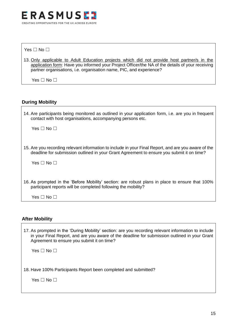

Yes □ No □

13. Only applicable to Adult Education projects which did not provide host partner/s in the application form: Have you informed your Project Officer/the NA of the details of your receiving partner organisations, i.e. organisation name, PIC, and experience?

Yes  $\Box$  No  $\Box$ 

#### **During Mobility**

| 14. Are participants being monitored as outlined in your application form, i.e. are you in frequent<br>contact with host organisations, accompanying persons etc.                                 |
|---------------------------------------------------------------------------------------------------------------------------------------------------------------------------------------------------|
| Yes □ No □                                                                                                                                                                                        |
|                                                                                                                                                                                                   |
| 15. Are you recording relevant information to include in your Final Report, and are you aware of the<br>deadline for submission outlined in your Grant Agreement to ensure you submit it on time? |
| Yes □ No □                                                                                                                                                                                        |
|                                                                                                                                                                                                   |
| 16. As prompted in the 'Before Mobility' section: are robust plans in place to ensure that 100%<br>participant reports will be completed following the mobility?                                  |
| Yes $\Box$ No $\Box$                                                                                                                                                                              |

#### **After Mobility**

17. As prompted in the 'During Mobility' section: are you recording relevant information to include in your Final Report, and are you aware of the deadline for submission outlined in your Grant Agreement to ensure you submit it on time?

Yes □ No □

18. Have 100% Participants Report been completed and submitted?

Yes □ No □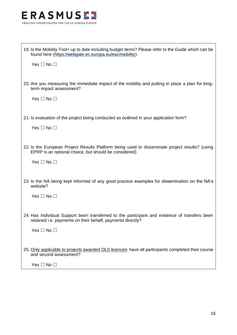

| 19. Is the Mobility Tool+ up to date including budget items? Please refer to the Guide which can be<br>found here (https://webgate.ec.europa.eu/eac/mobility):                      |  |  |
|-------------------------------------------------------------------------------------------------------------------------------------------------------------------------------------|--|--|
| Yes $\Box$ No $\Box$                                                                                                                                                                |  |  |
| 20. Are you measuring the immediate impact of the mobility and putting in place a plan for long-<br>term impact assessment?                                                         |  |  |
| Yes $\Box$ No $\Box$                                                                                                                                                                |  |  |
| 21. Is evaluation of the project being conducted as outlined in your application form?<br>Yes $\Box$ No $\Box$                                                                      |  |  |
| 22. Is the European Project Results Platform being used to disseminate project results? (using<br>EPRP is an optional choice, but should be considered)<br>Yes $\Box$ No $\Box$     |  |  |
| 23. Is the NA being kept informed of any good practice examples for dissemination on the NA's<br>website?<br>Yes $\Box$ No $\Box$                                                   |  |  |
| 24. Has Individual Support been transferred to the participant and evidence of transfers been<br>retained i.e. payments on their behalf, payments directly?<br>Yes $\Box$ No $\Box$ |  |  |
| 25. Only applicable to projects awarded OLS licences: have all participants completed their course<br>and second assessment?<br>Yes $\Box$ No $\Box$                                |  |  |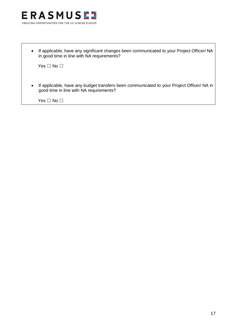

• If applicable, have any significant changes been communicated to your Project Officer/ NA in good time in line with NA requirements?

Yes □ No □

• If applicable, have any budget transfers been communicated to your Project Officer/ NA in good time in line with NA requirements?

Yes □ No □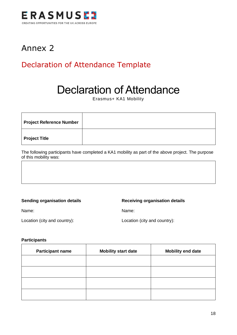

### <span id="page-18-0"></span>Annex 2

### <span id="page-18-1"></span>Declaration of Attendance Template

## Declaration of Attendance

Erasmus+ KA1 Mobility

| Project Reference Number |  |
|--------------------------|--|
| <b>Project Title</b>     |  |

The following participants have completed a KA1 mobility as part of the above project. The purpose of this mobility was:

**Sending organisation details Receiving organisation details** 

Name: Name:

Location (city and country): Location (city and country):

#### **Participants**

| <b>Participant name</b> | <b>Mobility start date</b> | <b>Mobility end date</b> |
|-------------------------|----------------------------|--------------------------|
|                         |                            |                          |
|                         |                            |                          |
|                         |                            |                          |
|                         |                            |                          |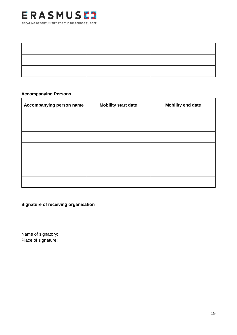

#### **Accompanying Persons**

| Accompanying person name | <b>Mobility start date</b> | <b>Mobility end date</b> |
|--------------------------|----------------------------|--------------------------|
|                          |                            |                          |
|                          |                            |                          |
|                          |                            |                          |
|                          |                            |                          |
|                          |                            |                          |
|                          |                            |                          |
|                          |                            |                          |

**Signature of receiving organisation**

Name of signatory: Place of signature: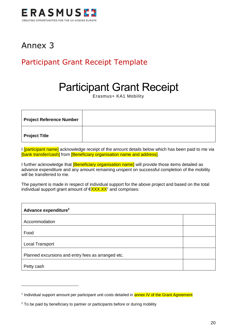

### <span id="page-20-0"></span>Annex 3

### <span id="page-20-1"></span>Participant Grant Receipt Template

## Participant Grant Receipt

Erasmus+ KA1 Mobility

| <b>Project Reference Number</b> |  |
|---------------------------------|--|
| Project Title                   |  |

I **[participant name]** acknowledge receipt of the amount details below which has been paid to me via [bank transfer/cash] from [Beneficiary organisation name and address].

I further acknowledge that **[Beneficiary organisation name]** will provide those items detailed as advance expenditure and any amount remaining unspent on successful completion of the mobility will be transferred to me.

The payment is made in respect of individual support for the above project and based on the total individual support grant amount of  $\epsilon$ XXX.XX<sup>1</sup> and comprises:

| Advance expenditure <sup>2</sup>                   |  |
|----------------------------------------------------|--|
| Accommodation                                      |  |
| Food                                               |  |
| Local Transport                                    |  |
| Planned excursions and entry fees as arranged etc. |  |
| Petty cash                                         |  |

<sup>&</sup>lt;sup>1</sup> Individual support amount per participant unit costs detailed in **annex IV of the Grant Agreement** 

 $2$  To be paid by beneficiary to partner or participants before or during mobility